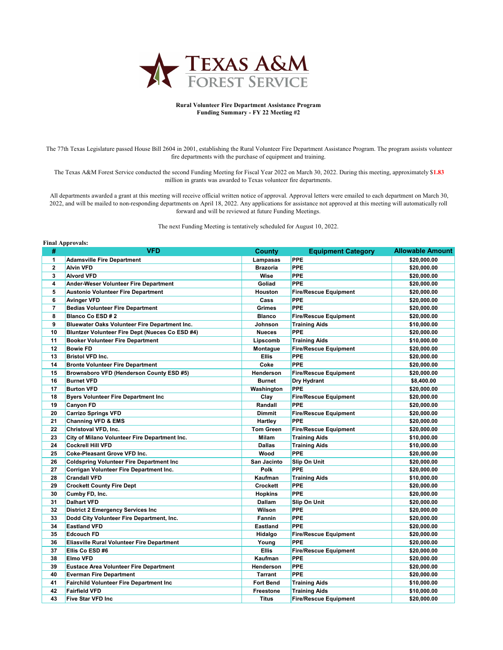

## **Rural Volunteer Fire Department Assistance Program Funding Summary - FY 22 Meeting #2**

 The 77th Texas Legislature passed House Bill 2604 in 2001, establishing the Rural Volunteer Fire Department Assistance Program. The program assists volunteer fire departments with the purchase of equipment and training.

 The Texas A&M Forest Service conducted the second Funding Meeting for Fiscal Year 2022 on March 30, 2022. During this meeting, approximately \$**1.83**  million in grants was awarded to Texas volunteer fire departments.

 All departments awarded a grant at this meeting will receive official written notice of approval. Approval letters were emailed to each department on March 30, 2022, and will be mailed to non-responding departments on April 18, 2022. Any applications for assistance not approved at this meeting will automatically roll forward and will be reviewed at future Funding Meetings.

The next Funding Meeting is tentatively scheduled for August 10, 2022.

## **Final Approvals:**

| #                       | <b>VFD</b>                                      | <b>County</b>    | <b>Equipment Category</b>    | <b>Allowable Amount</b> |
|-------------------------|-------------------------------------------------|------------------|------------------------------|-------------------------|
| 1                       | <b>Adamsville Fire Department</b>               | Lampasas         | <b>PPE</b>                   | \$20,000.00             |
| $\mathbf{2}$            | <b>Alvin VFD</b>                                | <b>Brazoria</b>  | <b>PPE</b>                   | \$20,000.00             |
| 3                       | <b>Alvord VFD</b>                               | <b>Wise</b>      | <b>PPE</b>                   | \$20,000.00             |
| 4                       | Ander-Weser Volunteer Fire Department           | Goliad           | PPE                          | \$20,000.00             |
| 5                       | <b>Austonio Volunteer Fire Department</b>       | Houston          | <b>Fire/Rescue Equipment</b> | \$20,000.00             |
| 6                       | <b>Avinger VFD</b>                              | Cass             | <b>PPE</b>                   | \$20,000.00             |
| $\overline{\mathbf{r}}$ | <b>Bedias Volunteer Fire Department</b>         | Grimes           | PPE                          | \$20,000.00             |
| 8                       | <b>Blanco Co ESD #2</b>                         | <b>Blanco</b>    | <b>Fire/Rescue Equipment</b> | \$20,000.00             |
| 9                       | Bluewater Oaks Volunteer Fire Department Inc.   | Johnson          | <b>Training Aids</b>         | \$10,000.00             |
| 10                      | Bluntzer Volunteer Fire Dept (Nueces Co ESD #4) | <b>Nueces</b>    | <b>PPE</b>                   | \$20,000.00             |
| 11                      | <b>Booker Volunteer Fire Department</b>         | Lipscomb         | <b>Training Aids</b>         | \$10,000.00             |
| 12                      | <b>Bowie FD</b>                                 | Montague         | <b>Fire/Rescue Equipment</b> | \$20,000.00             |
| 13                      | <b>Bristol VFD Inc.</b>                         | <b>Ellis</b>     | <b>PPE</b>                   | \$20,000.00             |
| 14                      | <b>Bronte Volunteer Fire Department</b>         | Coke             | PPE                          | \$20,000.00             |
| 15                      | Brownsboro VFD (Henderson County ESD #5)        | Henderson        | <b>Fire/Rescue Equipment</b> | \$20,000.00             |
| 16                      | <b>Burnet VFD</b>                               | <b>Burnet</b>    | Dry Hydrant                  | \$8,400.00              |
| 17                      | <b>Burton VFD</b>                               | Washington       | <b>PPE</b>                   | \$20,000.00             |
| 18                      | <b>Byers Volunteer Fire Department Inc.</b>     | Clay             | <b>Fire/Rescue Equipment</b> | \$20,000.00             |
| 19                      | <b>Canyon FD</b>                                | Randall          | <b>PPE</b>                   | \$20,000.00             |
| 20                      | <b>Carrizo Springs VFD</b>                      | <b>Dimmit</b>    | <b>Fire/Rescue Equipment</b> | \$20,000.00             |
| 21                      | <b>Channing VFD &amp; EMS</b>                   | Hartley          | PPE                          | \$20,000.00             |
| 22                      | Christoval VFD, Inc.                            | <b>Tom Green</b> | <b>Fire/Rescue Equipment</b> | \$20,000.00             |
| 23                      | City of Milano Volunteer Fire Department Inc.   | <b>Milam</b>     | <b>Training Aids</b>         | \$10,000.00             |
| 24                      | <b>Cockrell Hill VFD</b>                        | <b>Dallas</b>    | <b>Training Aids</b>         | \$10,000.00             |
| 25                      | Coke-Pleasant Grove VFD Inc.                    | Wood             | <b>PPE</b>                   | \$20,000.00             |
| 26                      | <b>Coldspring Volunteer Fire Department Inc</b> | San Jacinto      | Slip On Unit                 | \$20,000.00             |
| 27                      | Corrigan Volunteer Fire Department Inc.         | Polk             | PPE                          | \$20,000.00             |
| 28                      | <b>Crandall VFD</b>                             | Kaufman          | <b>Training Aids</b>         | \$10,000.00             |
| 29                      | <b>Crockett County Fire Dept</b>                | Crockett         | <b>PPE</b>                   | \$20,000.00             |
| 30                      | Cumby FD, Inc.                                  | <b>Hopkins</b>   | <b>PPE</b>                   | \$20,000.00             |
| 31                      | <b>Dalhart VFD</b>                              | Dallam           | Slip On Unit                 | \$20,000.00             |
| 32                      | <b>District 2 Emergency Services Inc.</b>       | Wilson           | <b>PPE</b>                   | \$20,000.00             |
| 33                      | Dodd City Volunteer Fire Department, Inc.       | Fannin           | <b>PPE</b>                   | \$20,000.00             |
| 34                      | <b>Eastland VFD</b>                             | <b>Eastland</b>  | <b>PPE</b>                   | \$20,000.00             |
| 35                      | <b>Edcouch FD</b>                               | Hidalgo          | <b>Fire/Rescue Equipment</b> | \$20,000.00             |
| 36                      | Eliasville Rural Volunteer Fire Department      | Young            | <b>PPE</b>                   | \$20,000.00             |
| 37                      | Ellis Co ESD #6                                 | <b>Ellis</b>     | <b>Fire/Rescue Equipment</b> | \$20,000.00             |
| 38                      | <b>Elmo VFD</b>                                 | Kaufman          | <b>PPE</b>                   | \$20,000.00             |
| 39                      | <b>Eustace Area Volunteer Fire Department</b>   | Henderson        | <b>PPE</b>                   | \$20,000.00             |
| 40                      | <b>Everman Fire Department</b>                  | Tarrant          | <b>PPE</b>                   | \$20,000.00             |
| 41                      | <b>Fairchild Volunteer Fire Department Inc.</b> | <b>Fort Bend</b> | <b>Training Aids</b>         | \$10,000.00             |
| 42                      | <b>Fairfield VFD</b>                            | Freestone        | <b>Training Aids</b>         | \$10,000.00             |
| 43                      | <b>Five Star VFD Inc</b>                        | <b>Titus</b>     | <b>Fire/Rescue Equipment</b> | \$20,000.00             |